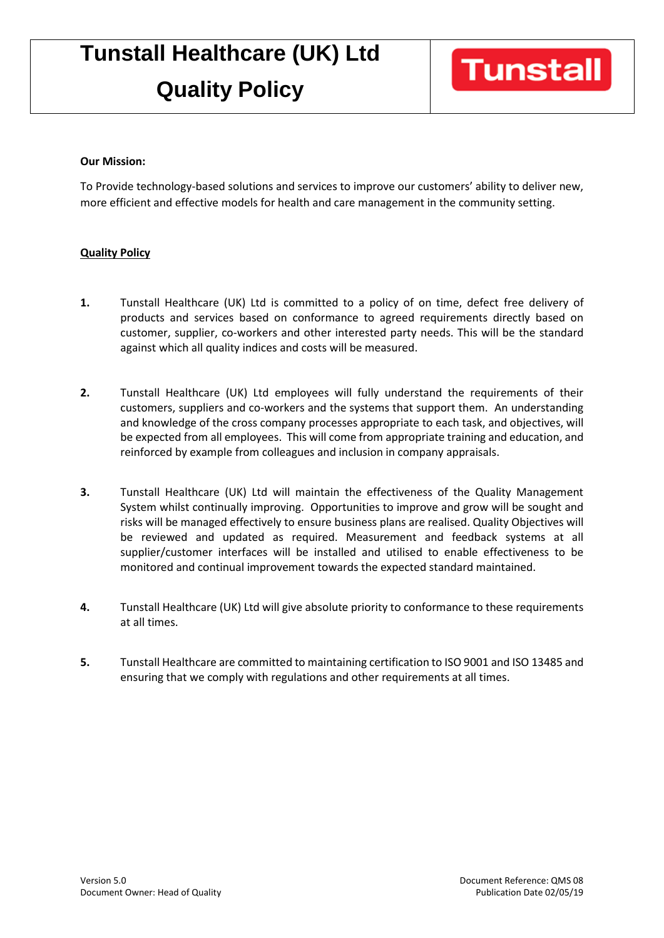# **Tunstall Healthcare (UK) Ltd**

## **Quality Policy**

### **Our Mission:**

To Provide technology-based solutions and services to improve our customers' ability to deliver new, more efficient and effective models for health and care management in the community setting.

### **Quality Policy**

- **1.** Tunstall Healthcare (UK) Ltd is committed to a policy of on time, defect free delivery of products and services based on conformance to agreed requirements directly based on customer, supplier, co-workers and other interested party needs. This will be the standard against which all quality indices and costs will be measured.
- **2.** Tunstall Healthcare (UK) Ltd employees will fully understand the requirements of their customers, suppliers and co-workers and the systems that support them. An understanding and knowledge of the cross company processes appropriate to each task, and objectives, will be expected from all employees. This will come from appropriate training and education, and reinforced by example from colleagues and inclusion in company appraisals.
- **3.** Tunstall Healthcare (UK) Ltd will maintain the effectiveness of the Quality Management System whilst continually improving. Opportunities to improve and grow will be sought and risks will be managed effectively to ensure business plans are realised. Quality Objectives will be reviewed and updated as required. Measurement and feedback systems at all supplier/customer interfaces will be installed and utilised to enable effectiveness to be monitored and continual improvement towards the expected standard maintained.
- **4.** Tunstall Healthcare (UK) Ltd will give absolute priority to conformance to these requirements at all times.
- **5.** Tunstall Healthcare are committed to maintaining certification to ISO 9001 and ISO 13485 and ensuring that we comply with regulations and other requirements at all times.